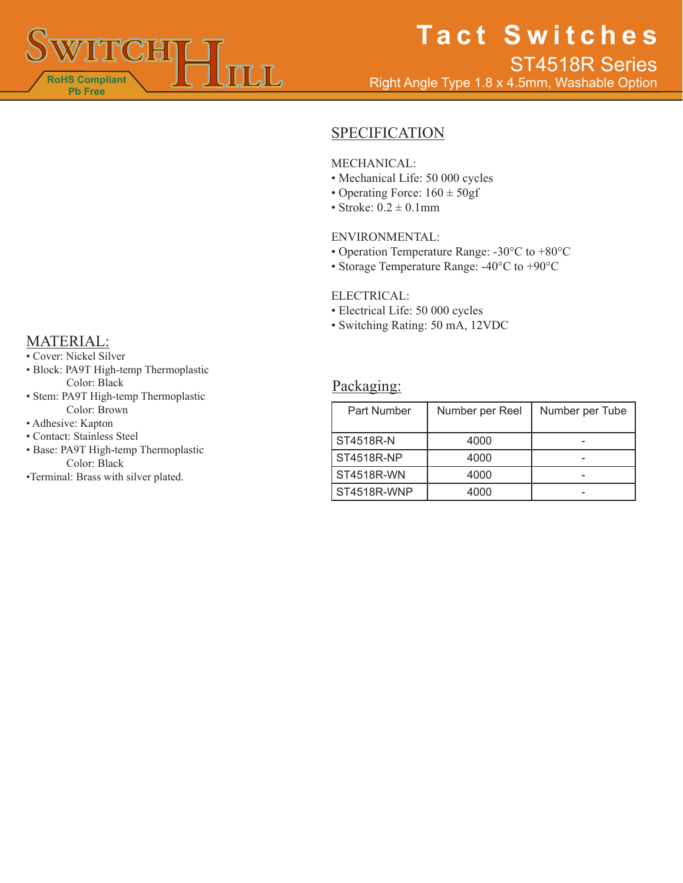

# **SPECIFICATION**

### MECHANICAL:

- Mechanical Life: 50 000 cycles
- Operating Force:  $160 \pm 50$ gf
- Stroke:  $0.2 \pm 0.1$ mm

### ENVIRONMENTAL:

- Operation Temperature Range: -30°C to +80°C
- Storage Temperature Range: -40°C to +90°C

### ELECTRICAL:

- Electrical Life: 50 000 cycles
- Switching Rating: 50 mA, 12VDC

### Packaging:

| Part Number | Number per Reel | Number per Tube |
|-------------|-----------------|-----------------|
| ST4518R-N   | 4000            |                 |
| ST4518R-NP  | 4000            |                 |
| ST4518R-WN  | 4000            |                 |
| ST4518R-WNP | 4000            |                 |

## MATERIAL:

- Cover: Nickel Silver
- Block: PA9T High-temp Thermoplastic Color: Black
- Stem: PA9T High-temp Thermoplastic Color: Brown
- Adhesive: Kapton
- Contact: Stainless Steel
- Base: PA9T High-temp Thermoplastic Color: Black
- •Terminal: Brass with silver plated.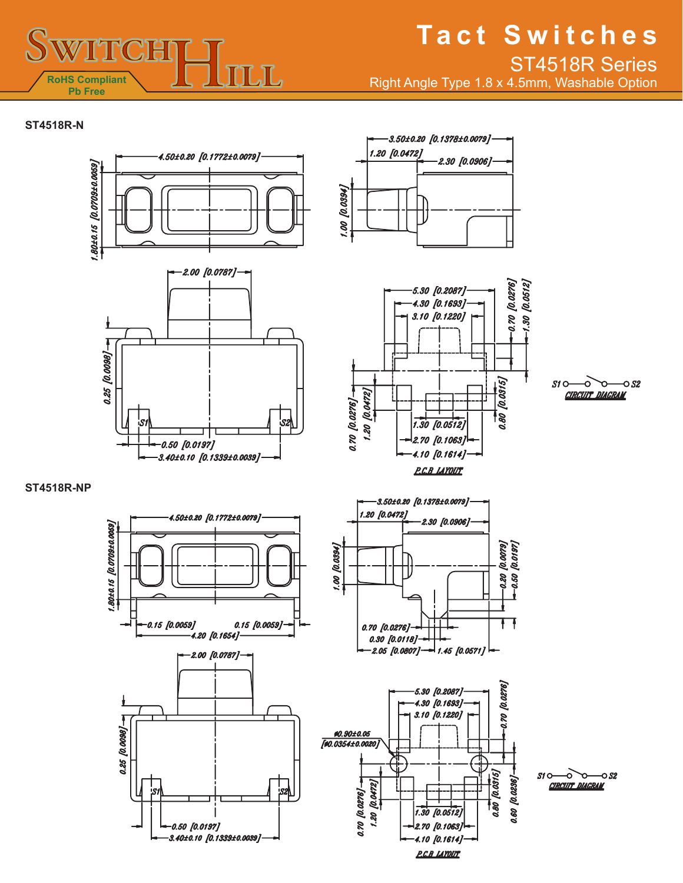

# **Tact Switches** ST4518R Series

Right Angle Type 1.8 x 4.5mm, Washable Option

**ST4518R-N**

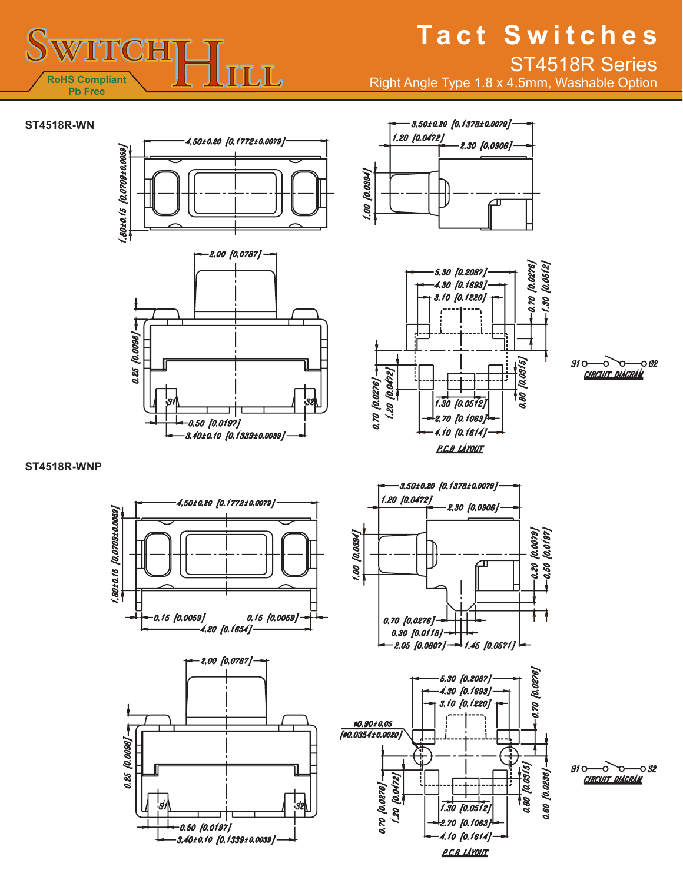

# **Tact Switches**

# ST4518R Series

Right Angle Type 1.8 x 4.5mm, Washable Option

#### **ST4518R-WN**